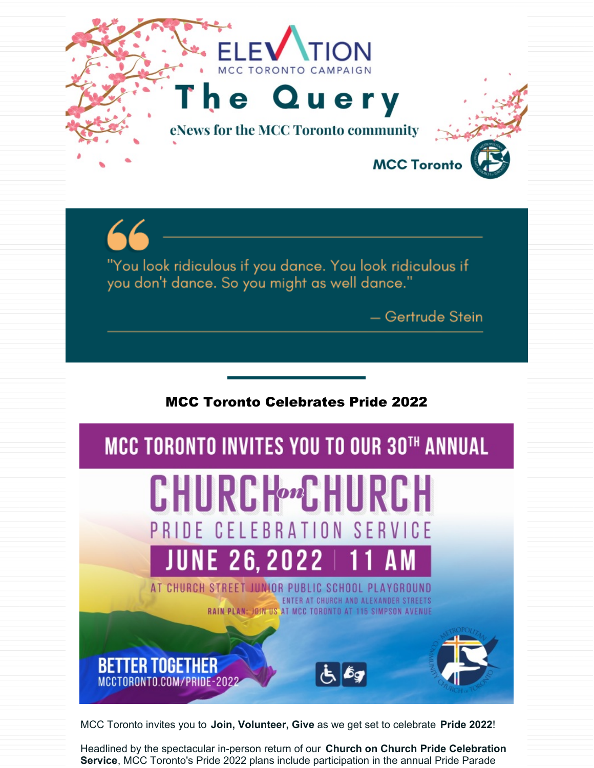

MCC Toronto invites you to **Join, Volunteer, Give** as we get set to celebrate **Pride 2022**!

Headlined by the spectacular in-person return of our **Church on Church Pride Celebration Service**, MCC Toronto's Pride 2022 plans include participation in the annual Pride Parade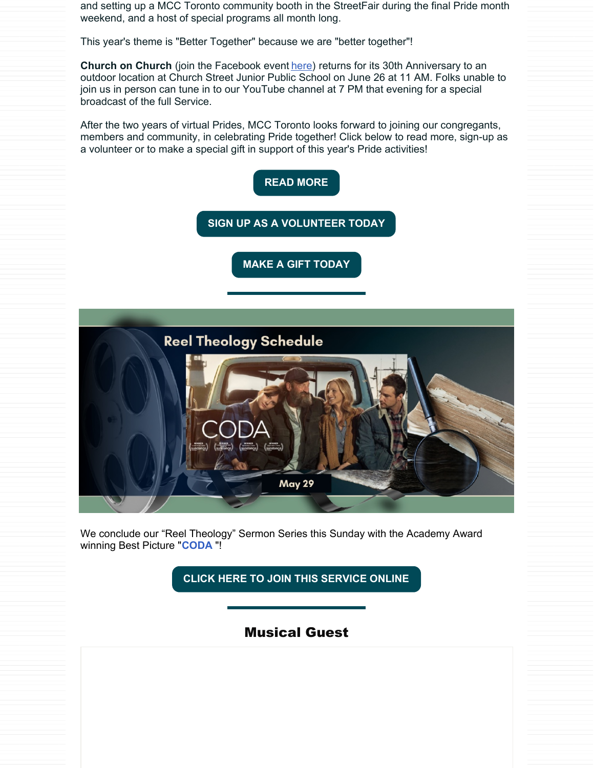and setting up a MCC Toronto community booth in the StreetFair during the final Pride month weekend, and a host of special programs all month long.

This year's theme is "Better Together" because we are "better together"!

**Church on Church** (join the Facebook event [here](https://www.facebook.com/events/1135847353815170/?ref=newsfeed)) returns for its 30th Anniversary to an outdoor location at Church Street Junior Public School on June 26 at 11 AM. Folks unable to join us in person can tune in to our YouTube channel at 7 PM that evening for a special broadcast of the full Service.

After the two years of virtual Prides, MCC Toronto looks forward to joining our congregants, members and community, in celebrating Pride together! Click below to read more, sign-up as a volunteer or to make a special gift in support of this year's Pride activities!



We conclude our "Reel Theology" Sermon Series this Sunday with the Academy Award winning Best Picture "**[CODA](https://www.youtube.com/watch?v=0pmfrE1YL4I)** "!

**CLICK HERE TO JOIN THIS [SERVICE](https://www.youtube.com/MCCTorontoTV) ONLINE**

Musical Guest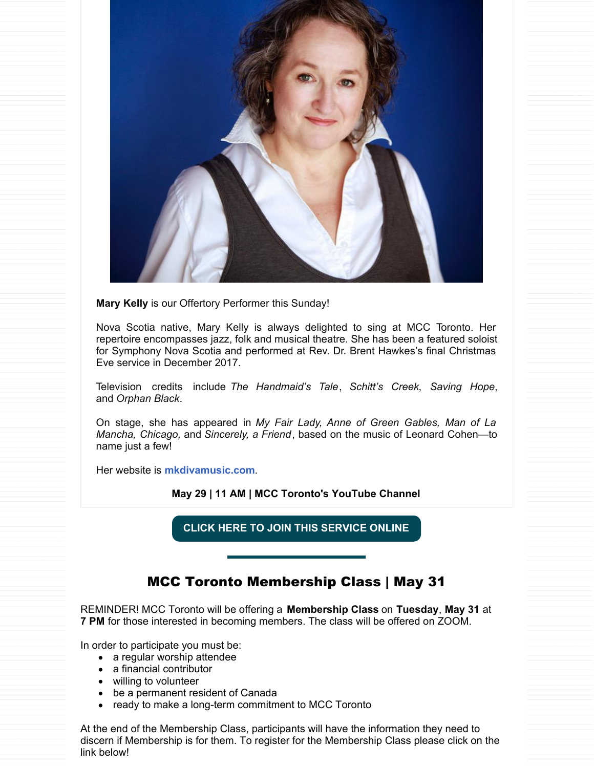

**Mary Kelly** is our Offertory Performer this Sunday!

Nova Scotia native, Mary Kelly is always delighted to sing at MCC Toronto. Her repertoire encompasses jazz, folk and musical theatre. She has been a featured soloist for Symphony Nova Scotia and performed at Rev. Dr. Brent Hawkes's final Christmas Eve service in December 2017.

Television credits include *The Handmaid's Tale*, *Schitt's Creek*, *Saving Hope*, and *Orphan Black*.

On stage, she has appeared in *My Fair Lady, Anne of Green Gables, Man of La Mancha, Chicago,* and *Sincerely, a Friend*, based on the music of Leonard Cohen—to name just a few!

Her website is **mkdivamusic.com**.

**May 29 | 11 AM | MCC Toronto's YouTube Channel**

**CLICK HERE TO JOIN THIS [SERVICE](https://www.youtube.com/MCCTorontoTV) ONLINE**

### MCC Toronto Membership Class | May 31

REMINDER! MCC Toronto will be offering a **Membership Class** on **Tuesday**, **May 31** at **7 PM** for those interested in becoming members. The class will be offered on ZOOM.

In order to participate you must be:

- a regular worship attendee
- a financial contributor
- willing to volunteer
- be a permanent resident of Canada
- ready to make a long-term commitment to MCC Toronto

At the end of the Membership Class, participants will have the information they need to discern if Membership is for them. To register for the Membership Class please click on the link below!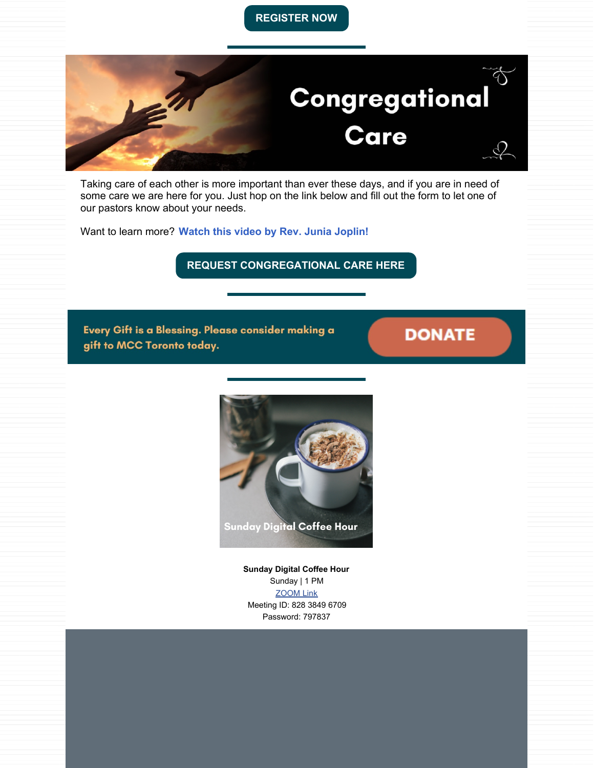#### **[REGISTER](https://form.jotform.com/221155478254255) NOW**



Taking care of each other is more important than ever these days, and if you are in need of some care we are here for you. Just hop on the link below and fill out the form to let one of our pastors know about your needs.

Want to learn more? **Watch this video by Rev. Junia [Joplin!](https://fb.watch/aw660duVxe/)**

**REQUEST [CONGREGATIONAL](https://www.mcctoronto.com/care/) CARE HERE**

Every Gift is a Blessing. Please consider making a gift to MCC Toronto today.

## **DONATE**



**Sunday Digital Coffee Hour** Sunday | 1 PM [ZOOM](https://us02web.zoom.us/j/82838496709?pwd=SWp6K0VxY080Tk5TakwxNVpOWDhPUT09) Link Meeting ID: 828 3849 6709 Password: 797837